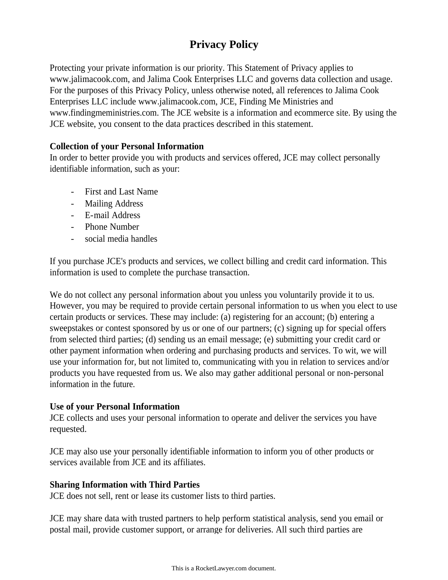# **Privacy Policy**

Protecting your private information is our priority. This Statement of Privacy applies to www.jalimacook.com, and Jalima Cook Enterprises LLC and governs data collection and usage. For the purposes of this Privacy Policy, unless otherwise noted, all references to Jalima Cook Enterprises LLC include www.jalimacook.com, JCE, Finding Me Ministries and www.findingmeministries.com. The JCE website is a information and ecommerce site. By using the JCE website, you consent to the data practices described in this statement.

# **Collection of your Personal Information**

In order to better provide you with products and services offered, JCE may collect personally identifiable information, such as your:

- First and Last Name
- Mailing Address
- E-mail Address
- Phone Number
- social media handles

If you purchase JCE's products and services, we collect billing and credit card information. This information is used to complete the purchase transaction.

We do not collect any personal information about you unless you voluntarily provide it to us. However, you may be required to provide certain personal information to us when you elect to use certain products or services. These may include: (a) registering for an account; (b) entering a sweepstakes or contest sponsored by us or one of our partners; (c) signing up for special offers from selected third parties; (d) sending us an email message; (e) submitting your credit card or other payment information when ordering and purchasing products and services. To wit, we will use your information for, but not limited to, communicating with you in relation to services and/or products you have requested from us. We also may gather additional personal or non-personal information in the future.

# **Use of your Personal Information**

JCE collects and uses your personal information to operate and deliver the services you have requested.

JCE may also use your personally identifiable information to inform you of other products or services available from JCE and its affiliates.

# **Sharing Information with Third Parties**

JCE does not sell, rent or lease its customer lists to third parties.

JCE may share data with trusted partners to help perform statistical analysis, send you email or postal mail, provide customer support, or arrange for deliveries. All such third parties are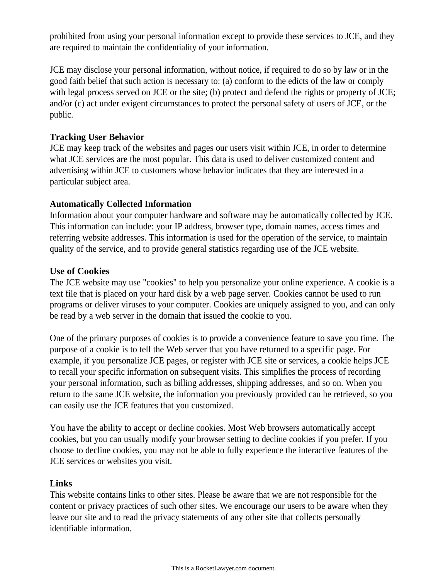prohibited from using your personal information except to provide these services to JCE, and they are required to maintain the confidentiality of your information.

JCE may disclose your personal information, without notice, if required to do so by law or in the good faith belief that such action is necessary to: (a) conform to the edicts of the law or comply with legal process served on JCE or the site; (b) protect and defend the rights or property of JCE; and/or (c) act under exigent circumstances to protect the personal safety of users of JCE, or the public.

# **Tracking User Behavior**

JCE may keep track of the websites and pages our users visit within JCE, in order to determine what JCE services are the most popular. This data is used to deliver customized content and advertising within JCE to customers whose behavior indicates that they are interested in a particular subject area.

## **Automatically Collected Information**

Information about your computer hardware and software may be automatically collected by JCE. This information can include: your IP address, browser type, domain names, access times and referring website addresses. This information is used for the operation of the service, to maintain quality of the service, and to provide general statistics regarding use of the JCE website.

## **Use of Cookies**

The JCE website may use "cookies" to help you personalize your online experience. A cookie is a text file that is placed on your hard disk by a web page server. Cookies cannot be used to run programs or deliver viruses to your computer. Cookies are uniquely assigned to you, and can only be read by a web server in the domain that issued the cookie to you.

One of the primary purposes of cookies is to provide a convenience feature to save you time. The purpose of a cookie is to tell the Web server that you have returned to a specific page. For example, if you personalize JCE pages, or register with JCE site or services, a cookie helps JCE to recall your specific information on subsequent visits. This simplifies the process of recording your personal information, such as billing addresses, shipping addresses, and so on. When you return to the same JCE website, the information you previously provided can be retrieved, so you can easily use the JCE features that you customized.

You have the ability to accept or decline cookies. Most Web browsers automatically accept cookies, but you can usually modify your browser setting to decline cookies if you prefer. If you choose to decline cookies, you may not be able to fully experience the interactive features of the JCE services or websites you visit.

#### **Links**

This website contains links to other sites. Please be aware that we are not responsible for the content or privacy practices of such other sites. We encourage our users to be aware when they leave our site and to read the privacy statements of any other site that collects personally identifiable information.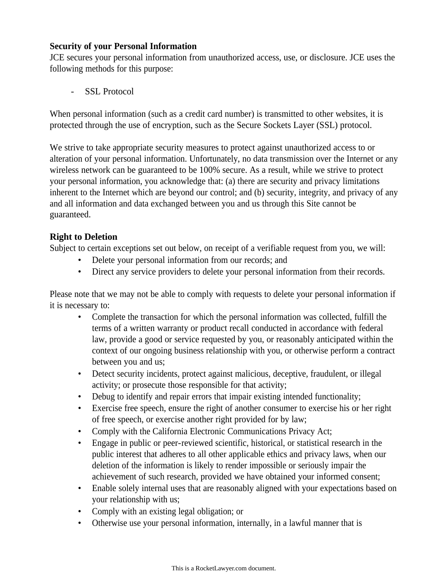## **Security of your Personal Information**

JCE secures your personal information from unauthorized access, use, or disclosure. JCE uses the following methods for this purpose:

SSL Protocol

When personal information (such as a credit card number) is transmitted to other websites, it is protected through the use of encryption, such as the Secure Sockets Layer (SSL) protocol.

We strive to take appropriate security measures to protect against unauthorized access to or alteration of your personal information. Unfortunately, no data transmission over the Internet or any wireless network can be guaranteed to be 100% secure. As a result, while we strive to protect your personal information, you acknowledge that: (a) there are security and privacy limitations inherent to the Internet which are beyond our control; and (b) security, integrity, and privacy of any and all information and data exchanged between you and us through this Site cannot be guaranteed.

# **Right to Deletion**

Subject to certain exceptions set out below, on receipt of a verifiable request from you, we will:

- Delete your personal information from our records; and
- Direct any service providers to delete your personal information from their records.

Please note that we may not be able to comply with requests to delete your personal information if it is necessary to:

- Complete the transaction for which the personal information was collected, fulfill the terms of a written warranty or product recall conducted in accordance with federal law, provide a good or service requested by you, or reasonably anticipated within the context of our ongoing business relationship with you, or otherwise perform a contract between you and us;
- Detect security incidents, protect against malicious, deceptive, fraudulent, or illegal activity; or prosecute those responsible for that activity;
- Debug to identify and repair errors that impair existing intended functionality;
- Exercise free speech, ensure the right of another consumer to exercise his or her right of free speech, or exercise another right provided for by law;
- Comply with the California Electronic Communications Privacy Act;
- Engage in public or peer-reviewed scientific, historical, or statistical research in the public interest that adheres to all other applicable ethics and privacy laws, when our deletion of the information is likely to render impossible or seriously impair the achievement of such research, provided we have obtained your informed consent;
- Enable solely internal uses that are reasonably aligned with your expectations based on your relationship with us;
- Comply with an existing legal obligation; or
- Otherwise use your personal information, internally, in a lawful manner that is